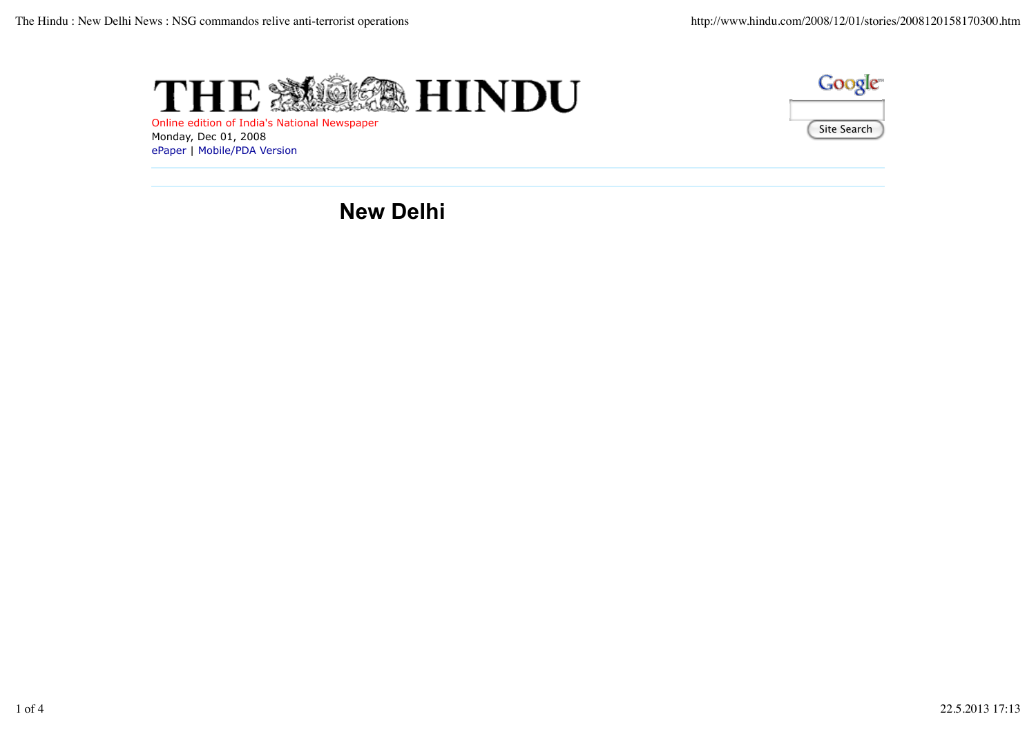

Online edition of India's National Newspaper Monday, Dec 01, 2008 ePaper | Mobile/PDA Version



**New Delhi**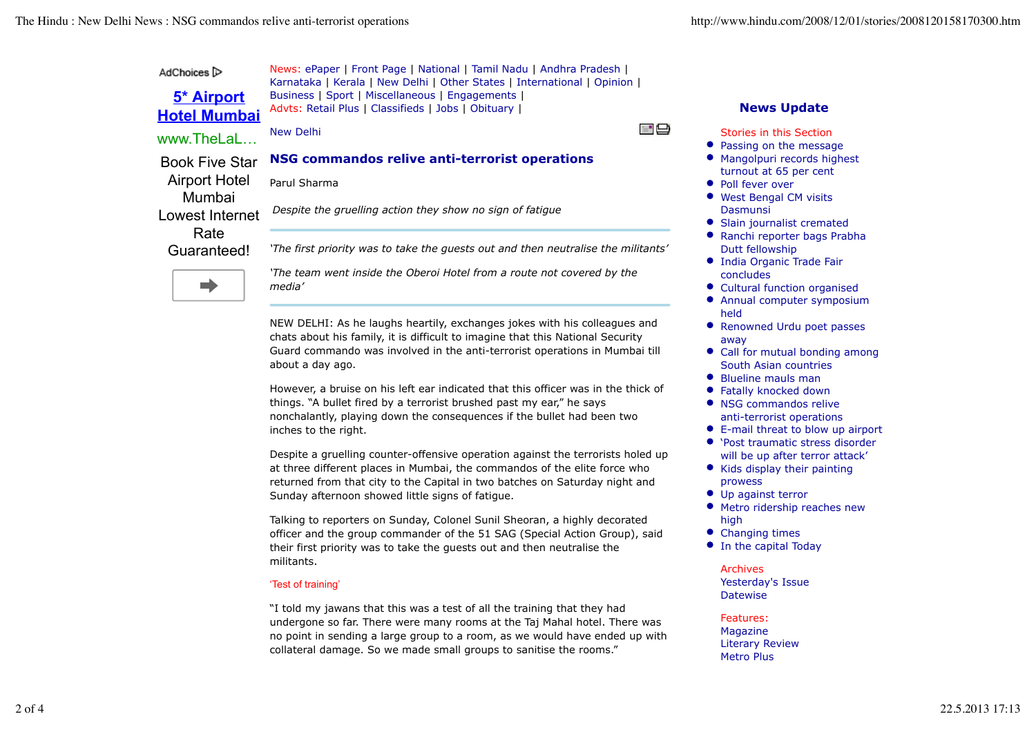| AdChoices $\triangleright$        | News: ePaper   Front Page   National   Tamil Nadu   Andhra Pradesh  <br>Karnataka   Kerala   New Delhi   Other States   International   Opinion |                                                    |
|-----------------------------------|-------------------------------------------------------------------------------------------------------------------------------------------------|----------------------------------------------------|
| 5* Airport<br><b>Hotel Mumbai</b> | Business   Sport   Miscellaneous   Engagements  <br>Advts: Retail Plus   Classifieds   Jobs   Obituary                                          | <b>News Update</b>                                 |
| www.TheLaL                        | $=$ $\bigoplus$<br>New Delhi                                                                                                                    | Stories in this Section<br>• Passing on the messag |
| <b>Book Five Star</b>             | NSG commandos relive anti-terrorist operations                                                                                                  | • Mangolpuri records hig<br>turnout at 65 per cent |
| <b>Airport Hotel</b><br>Mumbai    | Parul Sharma                                                                                                                                    | • Poll fever over<br>• West Bengal CM visits       |
| Lowest Internet                   | Despite the gruelling action they show no sign of fatique                                                                                       | Dasmunsi<br>• Slain journalist cremat              |
| Rate<br>Guaranteed!               | 'The first priority was to take the guests out and then neutralise the militants'                                                               | • Ranchi reporter bags P<br>Dutt fellowship        |
|                                   | 'The team went inside the Oberoi Hotel from a route not covered by the                                                                          | • India Organic Trade Fai<br>concludes             |

NEW DELHI: As he laughs heartily, exchanges jokes with his colleagues and chats about his family, it is difficult to imagine that this National Security Guard commando was involved in the anti-terrorist operations in Mumbai till about a day ago.

However, a bruise on his left ear indicated that this officer was in the thick of things. "A bullet fired by a terrorist brushed past my ear," he says nonchalantly, playing down the consequences if the bullet had been two inches to the right.

Despite a gruelling counter-offensive operation against the terrorists holed up at three different places in Mumbai, the commandos of the elite force who returned from that city to the Capital in two batches on Saturday night and Sunday afternoon showed little signs of fatigue.

Talking to reporters on Sunday, Colonel Sunil Sheoran, a highly decorated officer and the group commander of the 51 SAG (Special Action Group), said their first priority was to take the guests out and then neutralise the militants.

## 'Test of training'

*media'*

"I told my jawans that this was a test of all the training that they had undergone so far. There were many rooms at the Taj Mahal hotel. There was no point in sending a large group to a room, as we would have ended up with collateral damage. So we made small groups to sanitise the rooms."

- Passing on the message
- Ihest
- Slain journalist cremated
- rabha
- India Organic Trade Fair concludes
- Cultural function organised
- Annual computer symposium held
- Renowned Urdu poet passes away
- Call for mutual bonding among South Asian countries
- Blueline mauls man
- Fatally knocked down
- NSG commandos relive anti-terrorist operations
- E-mail threat to blow up airport
- 'Post traumatic stress disorder will be up after terror attack'
- Kids display their painting prowess
- $\bullet$  Up against terror
- Metro ridership reaches new high
- Changing times
- **•** In the capital Today

## Archives Yesterday's Issue **Datewise**

## Features:

Magazine Literary Review Metro Plus